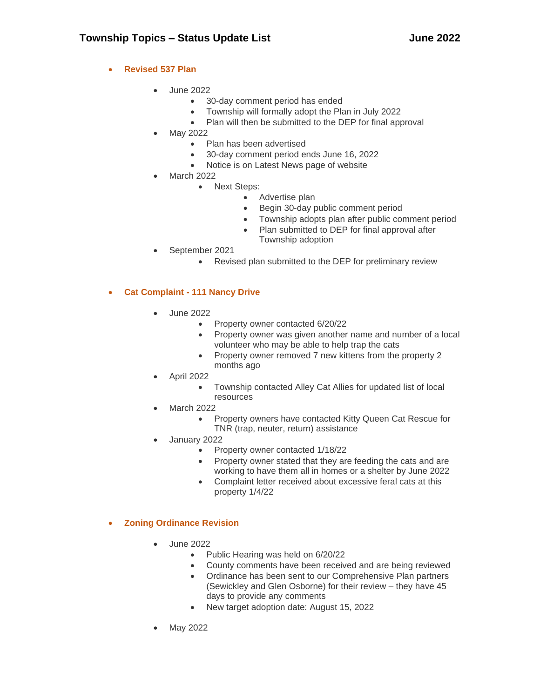## • **Revised 537 Plan**

- June 2022
	- 30-day comment period has ended
	- Township will formally adopt the Plan in July 2022
	- Plan will then be submitted to the DEP for final approval
- May 2022
	- Plan has been advertised
	- 30-day comment period ends June 16, 2022
	- Notice is on Latest News page of website
- March 2022
	- Next Steps:
		- Advertise plan
		- Begin 30-day public comment period
		- Township adopts plan after public comment period
		- Plan submitted to DEP for final approval after Township adoption
- September 2021
	- Revised plan submitted to the DEP for preliminary review

## • **Cat Complaint - 111 Nancy Drive**

- June 2022
	- Property owner contacted 6/20/22
	- Property owner was given another name and number of a local volunteer who may be able to help trap the cats
	- Property owner removed 7 new kittens from the property 2 months ago
- April 2022
	- Township contacted Alley Cat Allies for updated list of local resources
- March 2022
	- Property owners have contacted Kitty Queen Cat Rescue for TNR (trap, neuter, return) assistance
- January 2022
	- Property owner contacted 1/18/22
	- Property owner stated that they are feeding the cats and are working to have them all in homes or a shelter by June 2022
	- Complaint letter received about excessive feral cats at this property 1/4/22
- **Zoning Ordinance Revision**
	- June 2022
		- Public Hearing was held on 6/20/22
		- County comments have been received and are being reviewed
		- Ordinance has been sent to our Comprehensive Plan partners (Sewickley and Glen Osborne) for their review – they have 45 days to provide any comments
		- New target adoption date: August 15, 2022
	- May 2022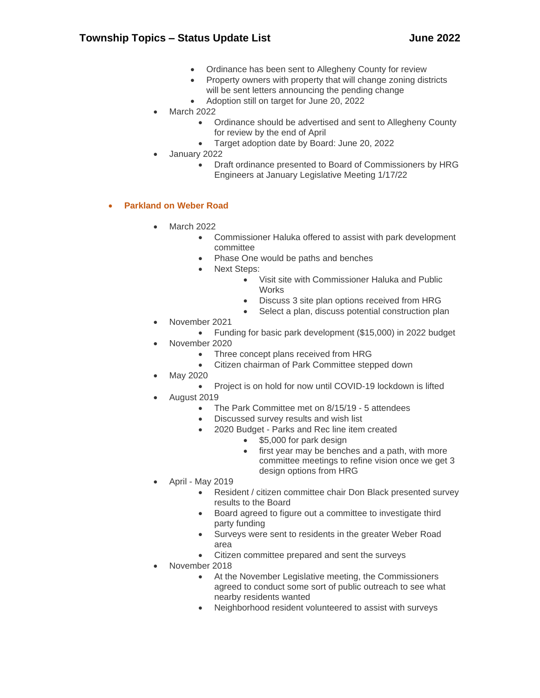- Ordinance has been sent to Allegheny County for review
- Property owners with property that will change zoning districts will be sent letters announcing the pending change
- Adoption still on target for June 20, 2022
- March 2022
	- Ordinance should be advertised and sent to Allegheny County for review by the end of April
	- Target adoption date by Board: June 20, 2022
- January 2022
	- Draft ordinance presented to Board of Commissioners by HRG Engineers at January Legislative Meeting 1/17/22

## • **Parkland on Weber Road**

- March 2022
	- Commissioner Haluka offered to assist with park development committee
	- Phase One would be paths and benches
	- Next Steps:
		- Visit site with Commissioner Haluka and Public **Works**
		- Discuss 3 site plan options received from HRG
		- Select a plan, discuss potential construction plan
- November 2021
- Funding for basic park development (\$15,000) in 2022 budget
- November 2020
	- Three concept plans received from HRG
	- Citizen chairman of Park Committee stepped down
- May 2020
	- Project is on hold for now until COVID-19 lockdown is lifted
- August 2019
	- The Park Committee met on 8/15/19 5 attendees
	- Discussed survey results and wish list
	- 2020 Budget Parks and Rec line item created
		- \$5,000 for park design
		- first year may be benches and a path, with more committee meetings to refine vision once we get 3 design options from HRG
- April May 2019
	- Resident / citizen committee chair Don Black presented survey results to the Board
	- Board agreed to figure out a committee to investigate third party funding
	- Surveys were sent to residents in the greater Weber Road area
	- Citizen committee prepared and sent the surveys
- November 2018
	- At the November Legislative meeting, the Commissioners agreed to conduct some sort of public outreach to see what nearby residents wanted
	- Neighborhood resident volunteered to assist with surveys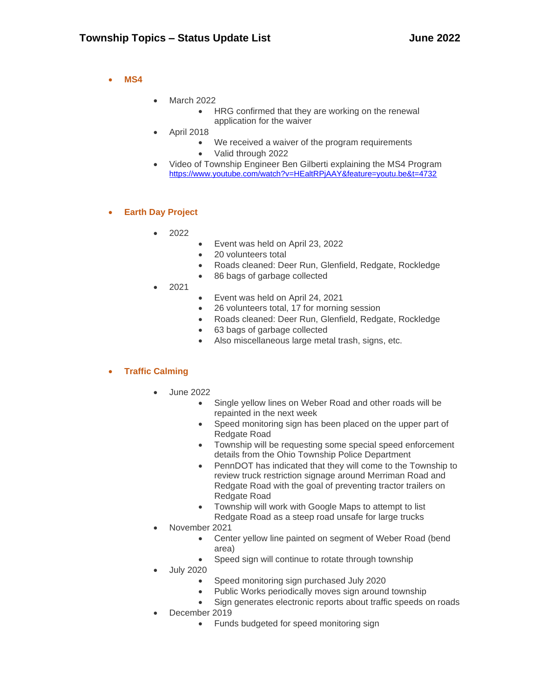## • **MS4**

- March 2022
	- HRG confirmed that they are working on the renewal application for the waiver
- April 2018
	- We received a waiver of the program requirements
		- Valid through 2022
- Video of Township Engineer Ben Gilberti explaining the MS4 Program <https://www.youtube.com/watch?v=HEaltRPjAAY&feature=youtu.be&t=4732>

## • **Earth Day Project**

- 2022
- Event was held on April 23, 2022
- 20 volunteers total
- Roads cleaned: Deer Run, Glenfield, Redgate, Rockledge
- 86 bags of garbage collected
- 2021
	- Event was held on April 24, 2021
	- 26 volunteers total, 17 for morning session
	- Roads cleaned: Deer Run, Glenfield, Redgate, Rockledge
	- 63 bags of garbage collected
	- Also miscellaneous large metal trash, signs, etc.

#### • **Traffic Calming**

- June 2022
	- Single yellow lines on Weber Road and other roads will be repainted in the next week
	- Speed monitoring sign has been placed on the upper part of Redgate Road
	- Township will be requesting some special speed enforcement details from the Ohio Township Police Department
	- PennDOT has indicated that they will come to the Township to review truck restriction signage around Merriman Road and Redgate Road with the goal of preventing tractor trailers on Redgate Road
	- Township will work with Google Maps to attempt to list Redgate Road as a steep road unsafe for large trucks
- November 2021
	- Center yellow line painted on segment of Weber Road (bend area)
	- Speed sign will continue to rotate through township
- July 2020
	- Speed monitoring sign purchased July 2020
	- Public Works periodically moves sign around township
	- Sign generates electronic reports about traffic speeds on roads
- December 2019
	- Funds budgeted for speed monitoring sign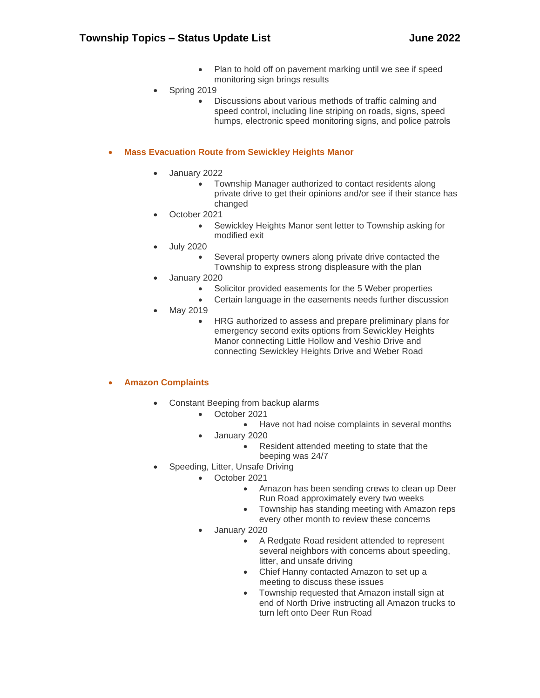- Plan to hold off on pavement marking until we see if speed monitoring sign brings results
- Spring 2019
	- Discussions about various methods of traffic calming and speed control, including line striping on roads, signs, speed humps, electronic speed monitoring signs, and police patrols

## • **Mass Evacuation Route from Sewickley Heights Manor**

- January 2022
	- Township Manager authorized to contact residents along private drive to get their opinions and/or see if their stance has changed
	- October 2021
		- Sewickley Heights Manor sent letter to Township asking for modified exit
- July 2020
	- Several property owners along private drive contacted the Township to express strong displeasure with the plan
- January 2020
	- Solicitor provided easements for the 5 Weber properties
	- Certain language in the easements needs further discussion
- May 2019
	- HRG authorized to assess and prepare preliminary plans for emergency second exits options from Sewickley Heights Manor connecting Little Hollow and Veshio Drive and connecting Sewickley Heights Drive and Weber Road

#### • **Amazon Complaints**

- Constant Beeping from backup alarms
	- October 2021
		- Have not had noise complaints in several months
	- January 2020
		- Resident attended meeting to state that the beeping was 24/7
- Speeding, Litter, Unsafe Driving
	- October 2021
		- Amazon has been sending crews to clean up Deer Run Road approximately every two weeks
		- Township has standing meeting with Amazon reps every other month to review these concerns
	- January 2020
		- A Redgate Road resident attended to represent several neighbors with concerns about speeding, litter, and unsafe driving
		- Chief Hanny contacted Amazon to set up a meeting to discuss these issues
		- Township requested that Amazon install sign at end of North Drive instructing all Amazon trucks to turn left onto Deer Run Road